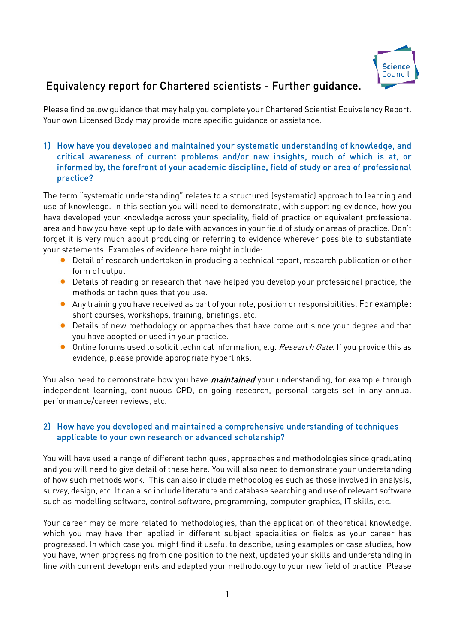

# Equivalency report for Chartered scientists - Further guidance.

Please find below guidance that may help you complete your Chartered Scientist Equivalency Report. Your own Licensed Body may provide more specific guidance or assistance.

## 1) How have you developed and maintained your systematic understanding of knowledge, and critical awareness of current problems and/or new insights, much of which is at, or informed by, the forefront of your academic discipline, field of study or area of professional practice?

The term "systematic understanding" relates to a structured (systematic) approach to learning and use of knowledge. In this section you will need to demonstrate, with supporting evidence, how you have developed your knowledge across your speciality, field of practice or equivalent professional area and how you have kept up to date with advances in your field of study or areas of practice. Don't forget it is very much about producing or referring to evidence wherever possible to substantiate your statements. Examples of evidence here might include:

- **O** Detail of research undertaken in producing a technical report, research publication or other form of output.
- Details of reading or research that have helped you develop your professional practice, the methods or techniques that you use.
- Any training you have received as part of your role, position or responsibilities. For example: short courses, workshops, training, briefings, etc.
- Details of new methodology or approaches that have come out since your degree and that you have adopted or used in your practice.
- **Online forums used to solicit technical information, e.g.** Research Gate. If you provide this as evidence, please provide appropriate hyperlinks.

You also need to demonstrate how you have *maintained* your understanding, for example through independent learning, continuous CPD, on-going research, personal targets set in any annual performance/career reviews, etc.

## 2) How have you developed and maintained a comprehensive understanding of techniques applicable to your own research or advanced scholarship?

You will have used a range of different techniques, approaches and methodologies since graduating and you will need to give detail of these here. You will also need to demonstrate your understanding of how such methods work. This can also include methodologies such as those involved in analysis, survey, design, etc. It can also include literature and database searching and use of relevant software such as modelling software, control software, programming, computer graphics, IT skills, etc.

Your career may be more related to methodologies, than the application of theoretical knowledge, which you may have then applied in different subject specialities or fields as your career has progressed. In which case you might find it useful to describe, using examples or case studies, how you have, when progressing from one position to the next, updated your skills and understanding in line with current developments and adapted your methodology to your new field of practice. Please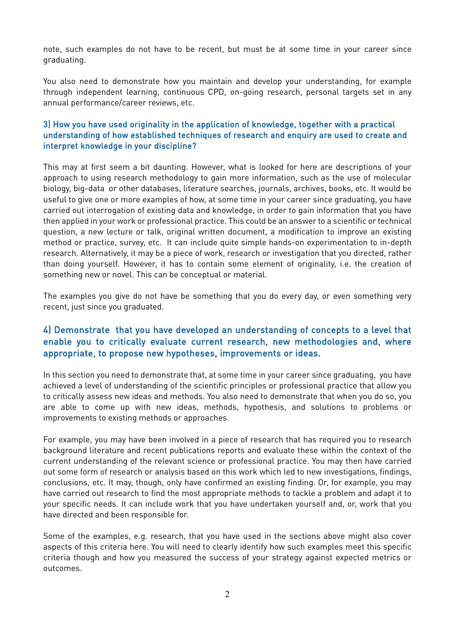note, such examples do not have to be recent, but must be at some time in your career since graduating.

You also need to demonstrate how you maintain and develop your understanding, for example through independent learning, continuous CPD, on-going research, personal targets set in any annual performance/career reviews, etc.

## 3) How you have used originality in the application of knowledge, together with a practical understanding of how established techniques of research and enquiry are used to create and interpret knowledge in your discipline?

This may at first seem a bit daunting. However, what is looked for here are descriptions of your approach to using research methodology to gain more information, such as the use of molecular biology, big-data or other databases, literature searches, journals, archives, books, etc. It would be useful to give one or more examples of how, at some time in your career since graduating, you have carried out interrogation of existing data and knowledge, in order to gain information that you have then applied in your work or professional practice. This could be an answer to a scientific or technical question, a new lecture or talk, original written document, a modification to improve an existing method or practice, survey, etc. It can include quite simple hands-on experimentation to in-depth research. Alternatively, it may be a piece of work, research or investigation that you directed, rather than doing yourself. However, it has to contain some element of originality, i.e. the creation of something new or novel. This can be conceptual or material.

The examples you give do not have be something that you do every day, or even something very recent, just since you graduated.

## 4) Demonstrate that you have developed an understanding of concepts to a level that enable you to critically evaluate current research, new methodologies and, where appropriate, to propose new hypotheses, improvements or ideas.

In this section you need to demonstrate that, at some time in your career since graduating, you have achieved a level of understanding of the scientific principles or professional practice that allow you to critically assess new ideas and methods. You also need to demonstrate that when you do so, you are able to come up with new ideas, methods, hypothesis, and solutions to problems or improvements to existing methods or approaches.

For example, you may have been involved in a piece of research that has required you to research background literature and recent publications reports and evaluate these within the context of the current understanding of the relevant science or professional practice. You may then have carried out some form of research or analysis based on this work which led to new investigations, findings, conclusions, etc. It may, though, only have confirmed an existing finding. Or, for example, you may have carried out research to find the most appropriate methods to tackle a problem and adapt it to your specific needs. It can include work that you have undertaken yourself and, or, work that you have directed and been responsible for.

Some of the examples, e.g. research, that you have used in the sections above might also cover aspects of this criteria here. You will need to clearly identify how such examples meet this specific criteria though and how you measured the success of your strategy against expected metrics or outcomes.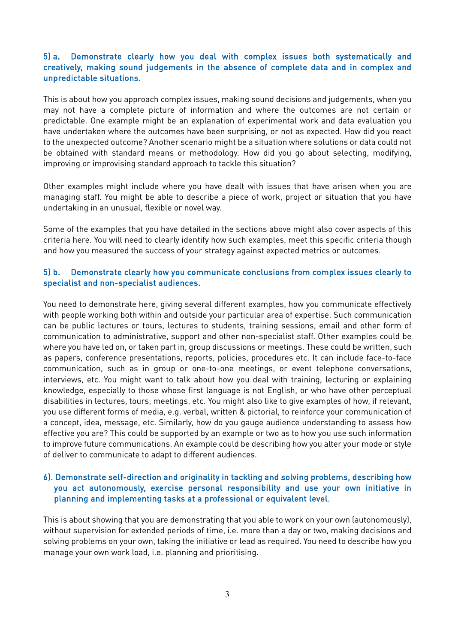## 5) a. Demonstrate clearly how you deal with complex issues both systematically and creatively, making sound judgements in the absence of complete data and in complex and unpredictable situations.

This is about how you approach complex issues, making sound decisions and judgements, when you may not have a complete picture of information and where the outcomes are not certain or predictable. One example might be an explanation of experimental work and data evaluation you have undertaken where the outcomes have been surprising, or not as expected. How did you react to the unexpected outcome? Another scenario might be a situation where solutions or data could not be obtained with standard means or methodology. How did you go about selecting, modifying, improving or improvising standard approach to tackle this situation?

Other examples might include where you have dealt with issues that have arisen when you are managing staff. You might be able to describe a piece of work, project or situation that you have undertaking in an unusual, flexible or novel way.

Some of the examples that you have detailed in the sections above might also cover aspects of this criteria here. You will need to clearly identify how such examples, meet this specific criteria though and how you measured the success of your strategy against expected metrics or outcomes.

#### 5) b. Demonstrate clearly how you communicate conclusions from complex issues clearly to specialist and non-specialist audiences.

You need to demonstrate here, giving several different examples, how you communicate effectively with people working both within and outside your particular area of expertise. Such communication can be public lectures or tours, lectures to students, training sessions, email and other form of communication to administrative, support and other non-specialist staff. Other examples could be where you have led on, or taken part in, group discussions or meetings. These could be written, such as papers, conference presentations, reports, policies, procedures etc. It can include face-to-face communication, such as in group or one-to-one meetings, or event telephone conversations, interviews, etc. You might want to talk about how you deal with training, lecturing or explaining knowledge, especially to those whose first language is not English, or who have other perceptual disabilities in lectures, tours, meetings, etc. You might also like to give examples of how, if relevant, you use different forms of media, e.g. verbal, written & pictorial, to reinforce your communication of a concept, idea, message, etc. Similarly, how do you gauge audience understanding to assess how effective you are? This could be supported by an example or two as to how you use such information to improve future communications. An example could be describing how you alter your mode or style of deliver to communicate to adapt to different audiences.

## 6). Demonstrate self-direction and originality in tackling and solving problems, describing how you act autonomously, exercise personal responsibility and use your own initiative in planning and implementing tasks at a professional or equivalent level.

This is about showing that you are demonstrating that you able to work on your own (autonomously), without supervision for extended periods of time, i.e. more than a day or two, making decisions and solving problems on your own, taking the initiative or lead as required. You need to describe how you manage your own work load, i.e. planning and prioritising.